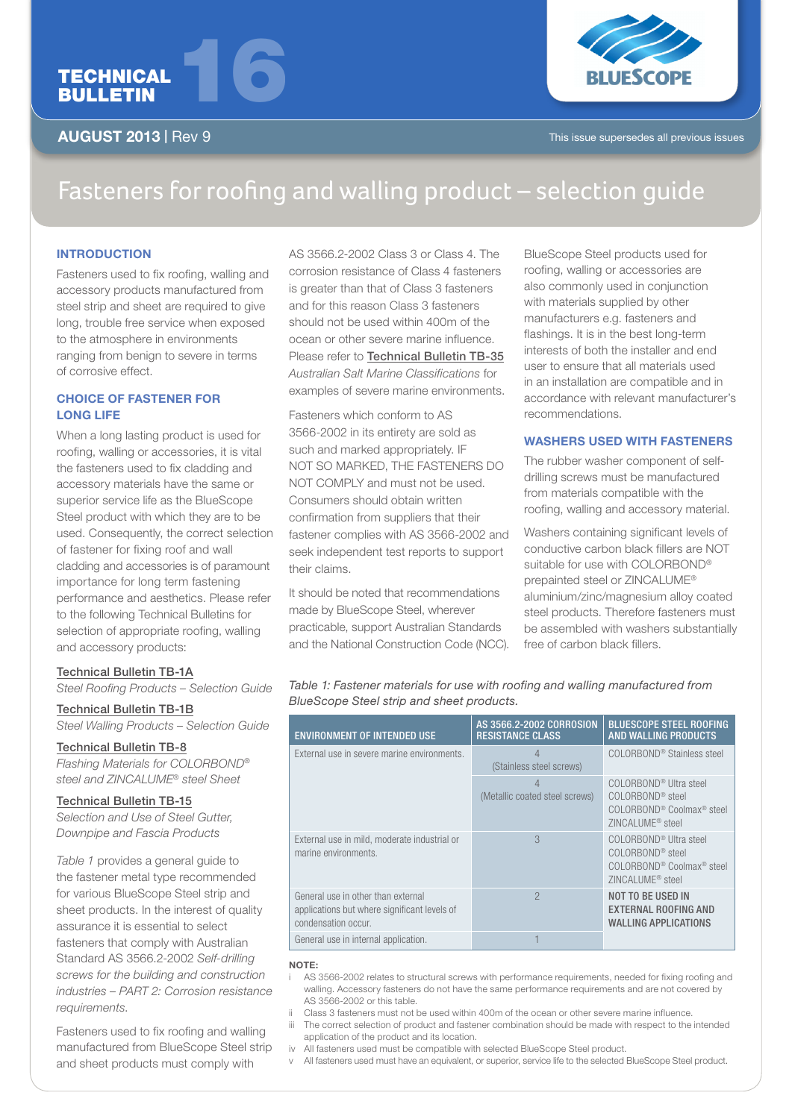



AUGUST 2013 | Rev 9

# Fasteners for roofing and walling product – selection guide

# **INTRODUCTION**

Fasteners used to fix roofing, walling and accessory products manufactured from steel strip and sheet are required to give long, trouble free service when exposed to the atmosphere in environments ranging from benign to severe in terms of corrosive effect.

# CHOICE OF FASTENER FOR LONG LIFE

When a long lasting product is used for roofing, walling or accessories, it is vital the fasteners used to fix cladding and accessory materials have the same or superior service life as the BlueScope Steel product with which they are to be used. Consequently, the correct selection of fastener for fixing roof and wall cladding and accessories is of paramount importance for long term fastening performance and aesthetics. Please refer to the following Technical Bulletins for selection of appropriate roofing, walling and accessory products:

# Technical Bulletin TB-1A

*Steel Roofing Products – Selection Guide*

#### Technical Bulletin TB-1B

*Steel Walling Products – Selection Guide*

### Technical Bulletin TB-8

*Flashing Materials for COLORBOND® steel and ZINCALUME® steel Sheet*

### Technical Bulletin TB-15

*Selection and Use of Steel Gutter, Downpipe and Fascia Products*

*Table 1* provides a general guide to the fastener metal type recommended for various BlueScope Steel strip and sheet products. In the interest of quality assurance it is essential to select fasteners that comply with Australian Standard AS 3566.2-2002 *Self-drilling screws for the building and construction industries – PART 2: Corrosion resistance requirements*.

Fasteners used to fix roofing and walling manufactured from BlueScope Steel strip and sheet products must comply with

AS 3566.2-2002 Class 3 or Class 4. The corrosion resistance of Class 4 fasteners is greater than that of Class 3 fasteners and for this reason Class 3 fasteners should not be used within 400m of the ocean or other severe marine influence. Please refer to Technical Bulletin TB-35 *Australian Salt Marine Classifications* for examples of severe marine environments.

Fasteners which conform to AS 3566-2002 in its entirety are sold as such and marked appropriately. IF NOT SO MARKED, THE FASTENERS DO NOT COMPLY and must not be used. Consumers should obtain written confirmation from suppliers that their fastener complies with AS 3566-2002 and seek independent test reports to support their claims.

It should be noted that recommendations made by BlueScope Steel, wherever practicable, support Australian Standards and the National Construction Code (NCC).

BlueScope Steel products used for roofing, walling or accessories are also commonly used in conjunction with materials supplied by other manufacturers e.g. fasteners and flashings. It is in the best long-term interests of both the installer and end user to ensure that all materials used in an installation are compatible and in accordance with relevant manufacturer's recommendations.

# WASHERS USED WITH FASTENERS

The rubber washer component of selfdrilling screws must be manufactured from materials compatible with the roofing, walling and accessory material.

Washers containing significant levels of conductive carbon black fillers are NOT suitable for use with COLORBOND® prepainted steel or ZINCALUME® aluminium/zinc/magnesium alloy coated steel products. Therefore fasteners must be assembled with washers substantially free of carbon black fillers.

*Table 1: Fastener materials for use with roofing and walling manufactured from BlueScope Steel strip and sheet products.*

| <b>ENVIRONMENT OF INTENDED USE</b>                                                                        | AS 3566.2-2002 CORROSION<br><b>RESISTANCE CLASS</b> | <b>BLUESCOPE STEEL ROOFING</b><br><b>AND WALLING PRODUCTS</b>                                                                                           |
|-----------------------------------------------------------------------------------------------------------|-----------------------------------------------------|---------------------------------------------------------------------------------------------------------------------------------------------------------|
| External use in severe marine environments.                                                               | 4<br>(Stainless steel screws)                       | COLORBOND <sup>®</sup> Stainless steel                                                                                                                  |
|                                                                                                           | (Metallic coated steel screws)                      | COLORBOND <sup>®</sup> Ultra steel<br>COLORBOND <sup>®</sup> steel<br>COLORBOND <sup>®</sup> Coolmax <sup>®</sup> steel<br>ZINCALUME <sup>®</sup> steel |
| External use in mild, moderate industrial or<br>marine environments.                                      | 3                                                   | COLORBOND <sup>®</sup> Ultra steel<br>COLORBOND <sup>®</sup> steel<br>COLORBOND <sup>®</sup> Coolmax <sup>®</sup> steel<br>ZINCALUME <sup>®</sup> steel |
| General use in other than external<br>applications but where significant levels of<br>condensation occur. | $\mathcal{P}$                                       | <b>NOT TO BE USED IN</b><br><b>EXTERNAL ROOFING AND</b><br><b>WALLING APPLICATIONS</b>                                                                  |
| General use in internal application.                                                                      |                                                     |                                                                                                                                                         |

#### NOTE:

AS 3566-2002 relates to structural screws with performance requirements, needed for fixing roofing and walling. Accessory fasteners do not have the same performance requirements and are not covered by AS 3566-2002 or this table.

- ii Class 3 fasteners must not be used within 400m of the ocean or other severe marine influence. iii The correct selection of product and fastener combination should be made with respect to the intended
- application of the product and its location.
- iv All fasteners used must be compatible with selected BlueScope Steel product.
- v All fasteners used must have an equivalent, or superior, service life to the selected BlueScope Steel product.